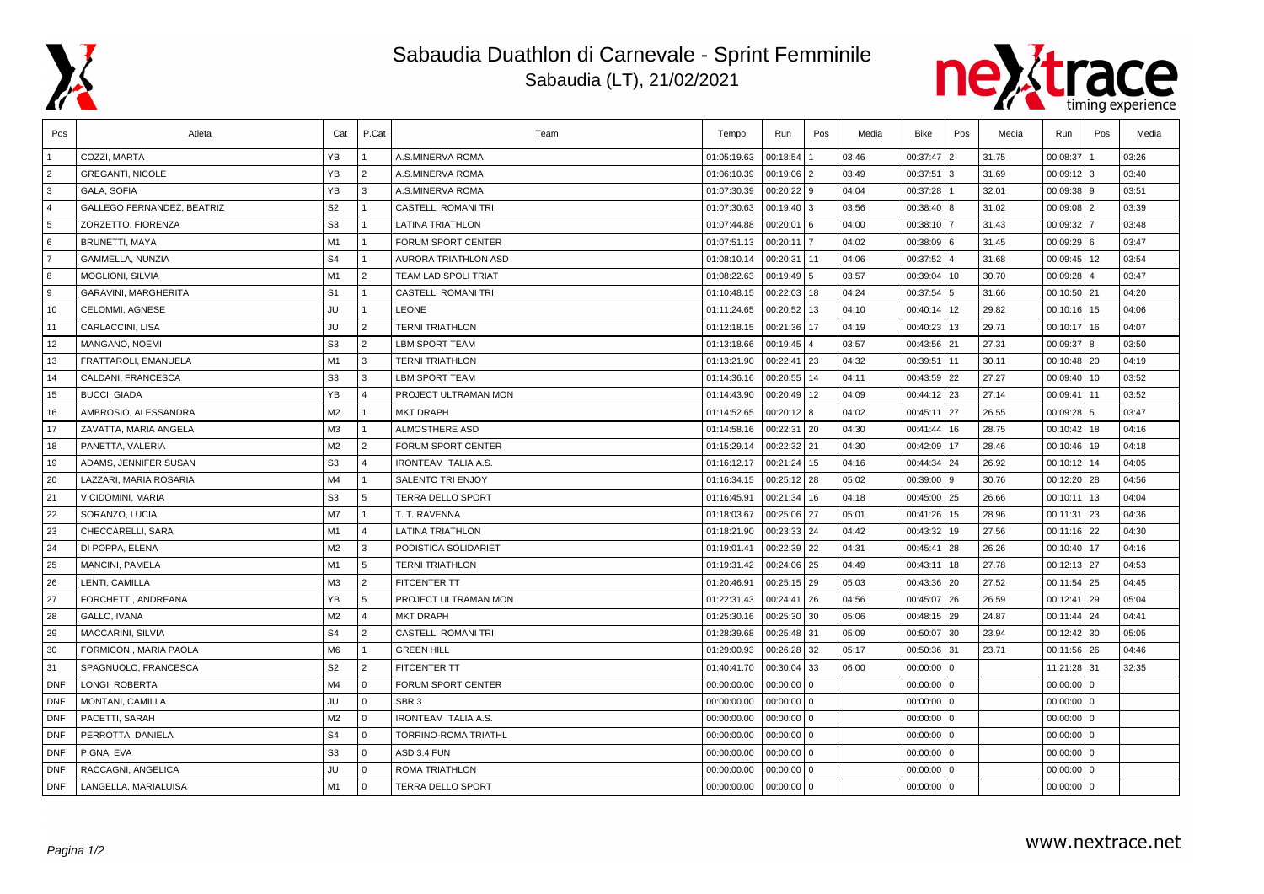

## Sabaudia Duathlon di Carnevale - Sprint Femminile Sabaudia (LT), 21/02/2021



| Pos            | Atleta                     | Cat            | P.Cat                | Team                        | Tempo       | Run           | Pos            | Media | Bike         | Pos | Media | Run             | Pos            | Media |
|----------------|----------------------------|----------------|----------------------|-----------------------------|-------------|---------------|----------------|-------|--------------|-----|-------|-----------------|----------------|-------|
|                | COZZI, MARTA               | YB             |                      | A.S.MINERVA ROMA            | 01:05:19.63 | 00:18:54      |                | 03:46 | 00:37:47 2   |     | 31.75 | 00:08:37        |                | 03:26 |
| $\overline{2}$ | <b>GREGANTI, NICOLE</b>    | YB             | 2                    | A.S.MINERVA ROMA            | 01:06:10.39 | 00:19:06      | $\overline{2}$ | 03:49 | 00:37:51     | l 3 | 31.69 | 00:09:12        | 3              | 03:40 |
| 3              | <b>GALA, SOFIA</b>         | YB             | 3                    | A.S.MINERVA ROMA            | 01:07:30.39 | $00:20:22$ 9  |                | 04:04 | 00:37:28     |     | 32.01 | 00:09:38        | l 9            | 03:51 |
| $\overline{4}$ | GALLEGO FERNANDEZ, BEATRIZ | S <sub>2</sub> | $\overline{1}$       | <b>CASTELLI ROMANI TRI</b>  | 01:07:30.63 | 00:19:40 3    |                | 03:56 | 00:38:40 8   |     | 31.02 | 00:09:08        | <sup>2</sup>   | 03:39 |
| 5              | ZORZETTO, FIORENZA         | S <sub>3</sub> | $\blacktriangleleft$ | <b>LATINA TRIATHLON</b>     | 01:07:44.88 | 00:20:01      | 6              | 04:00 | 00:38:10 7   |     | 31.43 | 00:09:32        |                | 03:48 |
| 6              | <b>BRUNETTI, MAYA</b>      | M1             | $\overline{1}$       | FORUM SPORT CENTER          | 01:07:51.13 | 00:20:11      | $\overline{7}$ | 04:02 | 00:38:09 6   |     | 31.45 | 00:09:29        | <b>6</b>       | 03:47 |
| $\overline{7}$ | GAMMELLA, NUNZIA           | S <sub>4</sub> | $\overline{1}$       | AURORA TRIATHLON ASD        | 01:08:10.14 | 00:20:31 11   |                | 04:06 | 00:37:52 4   |     | 31.68 | $00:09:45$ 12   |                | 03:54 |
| 8              | MOGLIONI, SILVIA           | M1             | 2                    | <b>TEAM LADISPOLI TRIAT</b> | 01:08:22.63 | 00:19:49 5    |                | 03:57 | 00:39:04     | 10  | 30.70 | 00:09:28        | $\overline{4}$ | 03:47 |
| ∣9             | GARAVINI, MARGHERITA       | S <sub>1</sub> | $\mathbf{1}$         | <b>CASTELLI ROMANI TRI</b>  | 01:10:48.15 | $00:22:03$ 18 |                | 04:24 | 00:37:54 5   |     | 31.66 | $00:10:50$   21 |                | 04:20 |
| 10             | <b>CELOMMI. AGNESE</b>     | JU             | $\blacktriangleleft$ | <b>LEONE</b>                | 01:11:24.65 | 00:20:52 13   |                | 04:10 | 00:40:14     | 12  | 29.82 | $00:10:16$ 15   |                | 04:06 |
| 11             | CARLACCINI, LISA           | <b>JU</b>      | 2                    | <b>TERNI TRIATHLON</b>      | 01:12:18.15 | 00:21:36      | 17             | 04:19 | 00:40:23     | 13  | 29.71 | 00:10:17        | l 16           | 04:07 |
| 12             | MANGANO, NOEMI             | S <sub>3</sub> | 2                    | <b>LBM SPORT TEAM</b>       | 01:13:18.66 | 00:19:45      |                | 03:57 | 00:43:56 21  |     | 27.31 | 00:09:37        | 8              | 03:50 |
| 13             | FRATTAROLI, EMANUELA       | M1             | 3                    | <b>TERNI TRIATHLON</b>      | 01:13:21.90 | 00:22:41 23   |                | 04:32 | 00:39:51     | 11  | 30.11 | $00:10:48$   20 |                | 04:19 |
| 14             | CALDANI, FRANCESCA         | S <sub>3</sub> | 3                    | <b>LBM SPORT TEAM</b>       | 01:14:36.16 | 00:20:55      | 14             | 04:11 | 00:43:59 22  |     | 27.27 | 00:09:40        | 10             | 03:52 |
| 15             | <b>BUCCI, GIADA</b>        | YB             | $\overline{4}$       | PROJECT ULTRAMAN MON        | 01:14:43.90 | 00:20:49      | 12             | 04:09 | 00:44:12 23  |     | 27.14 | 00:09:41        | 11             | 03:52 |
| 16             | AMBROSIO, ALESSANDRA       | M <sub>2</sub> | $\overline{1}$       | <b>MKT DRAPH</b>            | 01:14:52.65 | $00:20:12$ 8  |                | 04:02 | 00:45:11     | 27  | 26.55 | 00:09:28        | 5              | 03:47 |
| 17             | ZAVATTA, MARIA ANGELA      | M3             | $\overline{1}$       | ALMOSTHERE ASD              | 01:14:58.16 | $00:22:31$ 20 |                | 04:30 | 00:41:44     | 16  | 28.75 | $00:10:42$ 18   |                | 04:16 |
| 18             | PANETTA, VALERIA           | M <sub>2</sub> | $\overline{2}$       | FORUM SPORT CENTER          | 01:15:29.14 | 00:22:32 21   |                | 04:30 | 00:42:09 17  |     | 28.46 | $00:10:46$ 19   |                | 04:18 |
| 19             | ADAMS, JENNIFER SUSAN      | S <sub>3</sub> | $\overline{4}$       | <b>IRONTEAM ITALIA A.S.</b> | 01:16:12.17 | 00:21:24      | 15             | 04:16 | 00:44:34     | 24  | 26.92 | 00:10:12        | 14             | 04:05 |
| 20             | LAZZARI, MARIA ROSARIA     | M4             | $\mathbf{1}$         | <b>SALENTO TRI ENJOY</b>    | 01:16:34.15 | 00:25:12   28 |                | 05:02 | 00:39:00 9   |     | 30.76 | $00:12:20$ 28   |                | 04:56 |
| 21             | VICIDOMINI, MARIA          | S <sub>3</sub> | -5                   | <b>TERRA DELLO SPORT</b>    | 01:16:45.91 | 00:21:34      | 16             | 04:18 | 00:45:00 25  |     | 26.66 | 00:10:11        | 13             | 04:04 |
| 22             | SORANZO, LUCIA             | M7             | $\cdot$ 1            | T. T. RAVENNA               | 01:18:03.67 | 00:25:06   27 |                | 05:01 | 00:41:26     | 15  | 28.96 | 00:11:31        | 23             | 04:36 |
| 23             | CHECCARELLI, SARA          | M1             | $\overline{4}$       | <b>LATINA TRIATHLON</b>     | 01:18:21.90 | 00:23:33 24   |                | 04:42 | 00:43:32     | 19  | 27.56 | 00:11:16        | 22             | 04:30 |
| 24             | DI POPPA, ELENA            | M <sub>2</sub> | 3                    | PODISTICA SOLIDARIET        | 01:19:01.41 | 00:22:39      | 22             | 04:31 | 00:45:41     | 28  | 26.26 | 00:10:40        | 17             | 04:16 |
| 25             | MANCINI, PAMELA            | M1             | $\overline{5}$       | <b>TERNI TRIATHLON</b>      | 01:19:31.42 | 00:24:06 25   |                | 04:49 | 00:43:11     | 18  | 27.78 | $00:12:13$ 27   |                | 04:53 |
| 26             | LENTI, CAMILLA             | M <sub>3</sub> | $\overline{2}$       | <b>FITCENTER TT</b>         | 01:20:46.91 | $00:25:15$ 29 |                | 05:03 | 00:43:36 20  |     | 27.52 | $00:11:54$ 25   |                | 04:45 |
| 27             | FORCHETTI, ANDREANA        | YB             | 5                    | PROJECT ULTRAMAN MON        | 01:22:31.43 | 00:24:41 26   |                | 04:56 | 00:45:07 26  |     | 26.59 | 00:12:41        | 29             | 05:04 |
| 28             | GALLO, IVANA               | M <sub>2</sub> | $\overline{4}$       | <b>MKT DRAPH</b>            | 01:25:30.16 | 00:25:30      | 30             | 05:06 | 00:48:15 29  |     | 24.87 | 00:11:44        | 24             | 04:41 |
| 29             | MACCARINI, SILVIA          | S <sub>4</sub> | $\overline{2}$       | CASTELLI ROMANI TRI         | 01:28:39.68 | 00:25:48      | 31             | 05:09 | 00:50:07 30  |     | 23.94 | $00:12:42$ 30   |                | 05:05 |
| 30             | FORMICONI, MARIA PAOLA     | M <sub>6</sub> | $\mathbf{1}$         | <b>GREEN HILL</b>           | 01:29:00.93 | 00:26:28      | 32             | 05:17 | 00:50:36 31  |     | 23.71 | $00:11:56$ 26   |                | 04:46 |
| 31             | SPAGNUOLO, FRANCESCA       | S <sub>2</sub> | $\overline{2}$       | <b>FITCENTER TT</b>         | 01:40:41.70 | 00:30:04      | 33             | 06:00 | $00:00:00$ 0 |     |       | 11:21:28 31     |                | 32:35 |
| <b>DNF</b>     | LONGI, ROBERTA             | M <sub>4</sub> | $\Omega$             | FORUM SPORT CENTER          | 00:00:00.00 | 00:00:00      | $\mathbf 0$    |       | $00:00:00$ 0 |     |       | 00:00:00        | $\mathbf{0}$   |       |
| <b>DNF</b>     | MONTANI, CAMILLA           | <b>JU</b>      | $\mathbf{0}$         | SBR <sub>3</sub>            | 00:00:00.00 | 00:00:00      | $\mathbf 0$    |       | $00:00:00$ 0 |     |       | 00:00:00        | l 0            |       |
| <b>DNF</b>     | PACETTI, SARAH             | M <sub>2</sub> | $\Omega$             | <b>IRONTEAM ITALIA A.S.</b> | 00:00:00.00 | $00:00:00$ 0  |                |       | $00:00:00$ 0 |     |       | $00:00:00$ 0    |                |       |
| <b>DNF</b>     | PERROTTA, DANIELA          | S <sub>4</sub> | l o                  | TORRINO-ROMA TRIATHL        | 00:00:00.00 | $00:00:00$ 0  |                |       | $00:00:00$ 0 |     |       | 00:00:00        | l o            |       |
| <b>DNF</b>     | PIGNA, EVA                 | S <sub>3</sub> | $\Omega$             | ASD 3.4 FUN                 | 00:00:00.00 | $00:00:00$ 0  |                |       | $00:00:00$ 0 |     |       | $00:00:00$ 0    |                |       |
| <b>DNF</b>     | RACCAGNI, ANGELICA         | JU             | $\Omega$             | ROMA TRIATHLON              | 00:00:00.00 | 00:00:00      | $\mathbf 0$    |       | $00:00:00$ 0 |     |       | 00:00:00        | $\overline{0}$ |       |
| DNF            | LANGELLA, MARIALUISA       | M1             | $\Omega$             | <b>TERRA DELLO SPORT</b>    | 00:00:00.00 | $00:00:00$ 0  |                |       | $00:00:00$ 0 |     |       | $00:00:00$ 0    |                |       |